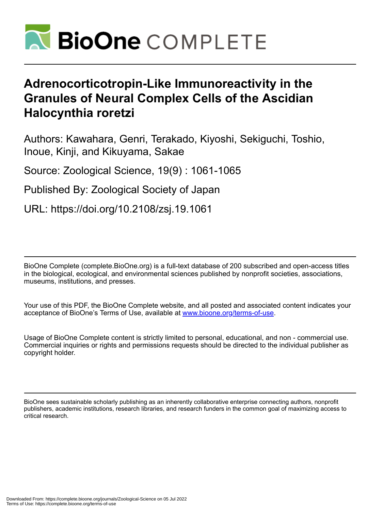

# **Adrenocorticotropin-Like Immunoreactivity in the Granules of Neural Complex Cells of the Ascidian Halocynthia roretzi**

Authors: Kawahara, Genri, Terakado, Kiyoshi, Sekiguchi, Toshio, Inoue, Kinji, and Kikuyama, Sakae

Source: Zoological Science, 19(9) : 1061-1065

Published By: Zoological Society of Japan

URL: https://doi.org/10.2108/zsj.19.1061

BioOne Complete (complete.BioOne.org) is a full-text database of 200 subscribed and open-access titles in the biological, ecological, and environmental sciences published by nonprofit societies, associations, museums, institutions, and presses.

Your use of this PDF, the BioOne Complete website, and all posted and associated content indicates your acceptance of BioOne's Terms of Use, available at www.bioone.org/terms-of-use.

Usage of BioOne Complete content is strictly limited to personal, educational, and non - commercial use. Commercial inquiries or rights and permissions requests should be directed to the individual publisher as copyright holder.

BioOne sees sustainable scholarly publishing as an inherently collaborative enterprise connecting authors, nonprofit publishers, academic institutions, research libraries, and research funders in the common goal of maximizing access to critical research.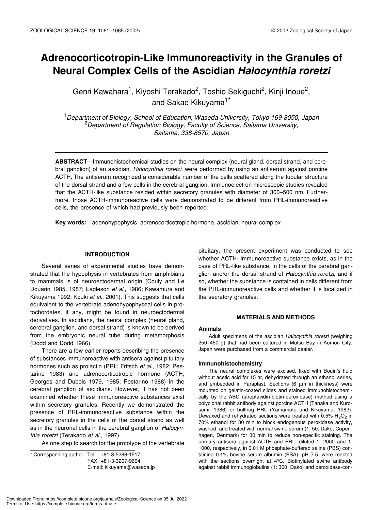# **Adrenocorticotropin-Like Immunoreactivity in the Granules of Neural Complex Cells of the Ascidian** *Halocynthia roretzi*

Genri Kawahara<sup>1</sup>, Kiyoshi Terakado<sup>2</sup>, Toshio Sekiguchi<sup>2</sup>, Kinji Inoue<sup>2</sup>, and Sakae Kikuyama<sup>1\*</sup>

1 *Department of Biology, School of Education, Waseda University, Tokyo 169-8050, Japan* 2 *Department of Regulation Biology, Faculty of Science, Saitama University, Saitama, 338-8570, Japan*

**ABSTRACT**—Immunohistochemical studies on the neural complex (neural gland, dorsal strand, and cerebral ganglion) of an ascidian, *Halocynthia roretzi*, were performed by using an antiserum against porcine ACTH. The antiserum recognized a considerable number of the cells scattered along the tubular structure of the dorsal strand and a few cells in the cerebral ganglion. Immunoelectron microscopic studies revealed that the ACTH-like substance resided within secretory granules with diameter of 300–500 nm. Furthermore, those ACTH-immunoreactive cells were demonstrated to be different from PRL-immunoreactive cells, the presence of which had previously been reported.

**Key words:** adenohypophysis, adrenocorticotropic hormone, ascidian, neural complex

# **INTRODUCTION**

Several series of experimental studies have demonstrated that the hypophysis in vertebrates from amphibians to mammals is of neuroectodermal origin (Couly and Le Douarin 1985, 1987; Eagleson *et al*., 1986; Kawamura and Kikuyama 1992; Kouki *et al*., 2001). This suggests that cells equivalent to the vertebrate adenohypophyseal cells in protochordates, if any, might be found in neuroectodermal derivatives. In ascidians, the neural complex (neural gland, cerebral ganglion, and dorsal strand) is known to be derived from the embryonic neural tube during metamorphosis (Dodd and Dodd 1966).

There are a few earlier reports describing the presence of substances immunoreactive with antisera against pituitary hormones such as prolactin (PRL; Fritsch *et al*., 1982; Pestarino 1983) and adrenocorticotropic hormone (ACTH; Georges and Dubois 1979, 1985; Pestarino 1988) in the cerebral ganglion of ascidians. However, it has not been examined whether these immunoreactive substances exist within secretory granules. Recently we demonstrated the presence of PRL-immunoreactive substance within the secretory granules in the cells of the dorsal strand as well as in the neuronal cells in the cerebral ganglion of *Halocynthia roretzi* (Terakado *et al*., 1997).

As one step to search for the prototype of the vertebrate

\* Corresponding author: Tel. +81-3-5286-1517; FAX. +81-3-3207-9694. E-mail: kikuyama@waseda.jp pituitary, the present experiment was conducted to see whether ACTH- immunoreactive substance exists, as in the case of PRL-like substance, in the cells of the cerebral ganglion and/or the dorsal strand of *Halocynthia roretzi*, and if so, whether the substance is contained in cells different from the PRL-immunoreactive cells and whether it is localized in the secretory granules.

### **MATERIALS AND METHODS**

# **Animals**

Adult specimens of the ascidian *Halocynthia roretzi* (weighing 250–450 g) that had been cultured in Mutsu Bay in Aomori City, Japan were purchased from a commercial dealer.

# **Immunohistochemistry**

The neural complexes were excised, fixed with Bouin's fluid without acetic acid for 15 hr, dehydrated through an ethanol series, and embedded in Paraplast. Sections (6 µm in thickness) were mounted on gelatin-coated slides and stained immunohistochemically by the ABC (streptavidin-biotin-peroxidase) method using a polyclonal rabbit antibody against porcine ACTH (Tanaka and Kurosumi, 1986) or bullfrog PRL (Yamamoto and Kikuyama, 1982). Dewaxed and rehydrated sections were treated with  $0.5\%$  H<sub>2</sub>O<sub>2</sub> in 70% ethanol for 30 min to block endogenous peroxidase activity, washed, and treated with normal swine serum (1: 50; Dako, Copenhagen, Denmark) for 30 min to reduce non-specific staining. The primary antisera against ACTH and PRL, diluted 1: 2000 and 1: 1000, respectively, in 0.01 M phosphate-buffered saline (PBS) containing 0.1% bovine serum albumin (BSA), pH 7.5, were reacted with the sections overnight at 4°C. Biotinylated swine antibody against rabbit immunoglobulins (1: 300; Dako) and peroxidase-con-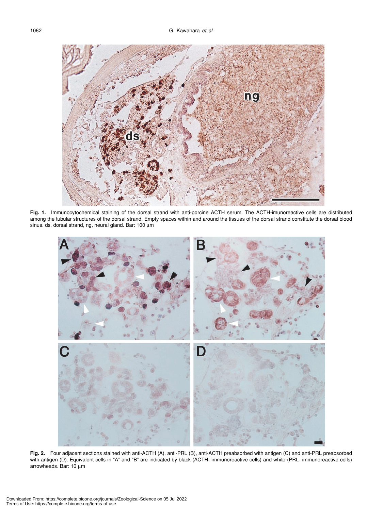

**Fig. 1.** Immunocytochemical staining of the dorsal strand with anti-porcine ACTH serum. The ACTH-imunoreactive cells are distributed among the tubular structures of the dorsal strand. Empty spaces within and around the tissues of the dorsal strand constitute the dorsal blood sinus. ds, dorsal strand, ng, neural gland. Bar: 100 µm



**Fig. 2.** Four adjacent sections stained with anti-ACTH (A), anti-PRL (B), anti-ACTH preabsorbed with antigen (C) and anti-PRL preabsorbed with antigen (D). Equivalent cells in "A" and "B" are indicated by black (ACTH- immunoreactive cells) and white (PRL- immunoreactive cells) arrowheads. Bar: 10 µm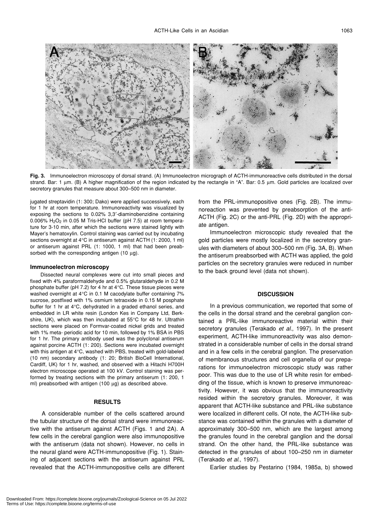

**Fig. 3.** Immunoelectron microscopy of dorsal strand. (A) Immunoelectron micrograph of ACTH-immunoreactive cells distributed in the dorsal strand. Bar: 1 μm. (B) A higher magnification of the region indicated by the rectangle in "A". Bar: 0.5 μm. Gold particles are localized over secretory granules that measure about 300–500 nm in diameter.

jugated streptavidin (1: 300; Dako) were applied successively, each for 1 hr at room temperature. Immunoreactivity was visualized by exposing the sections to 0.02% 3,3′-diaminobenzidine containing 0.006%  $H<sub>2</sub>O<sub>2</sub>$  in 0.05 M Tris-HCl buffer (pH 7.5) at room temperature for 3-10 min, after which the sections were stained lightly with Mayer's hematoxylin. Control staining was carried out by incubating sections overnight at 4°C in antiserum against ACTH (1: 2000, 1 ml) or antiserum against PRL (1: 1000, 1 ml) that had been preabsorbed with the corresponding antigen  $(10 \mu g)$ .

#### **Immunoelectron microscopy**

Dissected neural complexes were cut into small pieces and fixed with 4% paraformaldehyde and 0.5% glutaraldehyde in 0.2 M phosphate buffer (pH 7.2) for 4 hr at 4°C. These tissue pieces were washed overnight at 4°C in 0.1 M cacodylate buffer containing 7% sucrose, postfixed with 1% osmium tetraoxide in 0.15 M posphate buffer for 1 hr at 4°C, dehydrated in a graded ethanol series, and embedded in LR white resin (London Kes in Company Ltd, Berkshire, UK), which was then incubated at 55°C for 48 hr. Ultrathin sections were placed on Formvar-coated nickel grids and treated with 1% meta- periodic acid for 10 min, followed by 1% BSA in PBS for 1 hr. The primary antibody used was the polyclonal antiserum against porcine ACTH (1: 200). Sections were incubated overnight with this antigen at 4°C, washed with PBS, treated with gold-labeled (10 nm) secondary antibody (1: 20; British BioCell International, Cardiff, UK) for 1 hr, washed, and observed with a Hitachi H700H electron microscope operated at 100 kV. Control staining was performed by treating sections with the primary antiserum (1: 200, 1 ml) preabsorbed with antigen (100 μg) as described above.

# **RESULTS**

A considerable number of the cells scattered around the tubular structure of the dorsal strand were immunoreactive with the antiserum against ACTH (Figs. 1 and 2A). A few cells in the cerebral ganglion were also immunopositive with the antiserum (data not shown). However, no cells in the neural gland were ACTH-immunopositive (Fig. 1). Staining of adjacent sections with the antiserum against PRL revealed that the ACTH-immunopositive cells are different from the PRL-immunopositive ones (Fig. 2B). The immunoreaction was prevented by preabsorption of the anti-ACTH (Fig. 2C) or the anti-PRL (Fig. 2D) with the appropriate antigen.

Immunoelectron microscopic study revealed that the gold particles were mostly localized in the secretory granules with diameters of about 300–500 nm (Fig. 3A, B). When the antiserum preabsorbed with ACTH was applied, the gold particles on the secretory granules were reduced in number to the back ground level (data not shown).

# **DISCUSSION**

In a previous communication, we reported that some of the cells in the dorsal strand and the cerebral ganglion contained a PRL-like immunoreactive material within their secretory granules (Terakado *et al*., 1997). In the present experiment, ACTH-like immunoreactivity was also demonstrated in a considerable number of cells in the dorsal strand and in a few cells in the cerebral ganglion. The preservation of membranous structures and cell organella of our preparations for immunoelectron microscopic study was rather poor. This was due to the use of LR white resin for embedding of the tissue, which is known to preserve immunoreactivity. However, it was obvious that the immunoreactivity resided within the secretory granules. Moreover, it was apparent that ACTH-like substance and PRL-like substance were localized in different cells. Of note, the ACTH-like substance was contained within the granules with a diameter of approximately 300–500 nm, which are the largest among the granules found in the cerebral ganglion and the dorsal strand. On the other hand, the PRL-like substance was detected in the granules of about 100–250 nm in diameter (Terakado *et al*., 1997).

Earlier studies by Pestarino (1984, 1985a, b) showed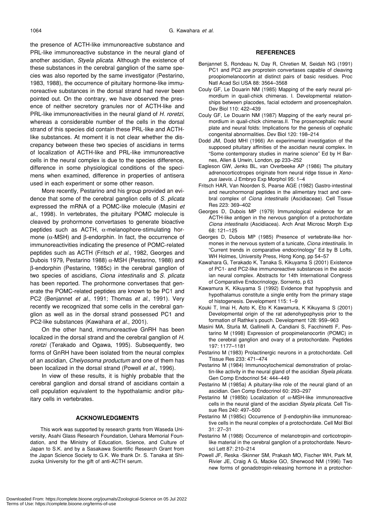the presence of ACTH-like immunoreactive substance and PRL-like immunoreactive substance in the neural gland of another ascidian, *Styela plicata*. Although the existence of these substances in the cerebral ganglion of the same species was also reported by the same investigator (Pestarino, 1983, 1988), the occurrence of pituitary hormone-like immunoreactive substances in the dorsal strand had never been pointed out. On the contrary, we have observed the presence of neither secretory granules nor of ACTH-like and PRL-like immunoreactivities in the neural gland of *H. roretzi*, whereas a considerable number of the cells in the dorsal strand of this species did contain these PRL-like and ACTHlike substances. At moment it is not clear whether the discrepancy between these two species of ascidians in terms of localization of ACTH-like and PRL-like immunoreactive cells in the neural complex is due to the species difference, difference in some physiological conditions of the specimens when examined, difference in properties of antisera used in each experiment or some other reason.

More recently, Pestarino and his group provided an evidence that some of the cerebral ganglion cells of *S. plicata* expressed the mRNA of a POMC-like molecule (Masini *et al*., 1998). In vertebrates, the pituitary POMC molecule is cleaved by prohormone convertases to generate bioactive peptides such as ACTH,  $\alpha$ -melanophore-stimulating hormone ( $α$ -MSH) and  $β$ -endorphin. In fact, the occurrence of immunoreactivities indicating the presence of POMC-related peptides such as ACTH (Fritsch *et al*., 1982, Georges and Dubois 1979, Pestarino 1988)  $α$ -MSH (Pestarino, 1988) and β-endorphin (Pestarino, 1985c) in the cerebral ganglion of two species of ascidians, *Ciona intestinalis* and *S. plicata* has been reported. The prohormone convertases that generate the POMC-related peptides are known to be PC1 and PC2 (Benjannet *et al*., 1991; Thomas *et al*., 1991). Very recently we recognized that some cells in the cerebral ganglion as well as in the dorsal strand possessed PC1 and PC2-like substances (Kawahara *et al*., 2001).

On the other hand, immunoreactive GnRH has been localized in the dorsal strand and the cerebral ganglion of *H. roretzi* (Terakado and Ogawa, 1995). Subsequently, two forms of GnRH have been isolated from the neural complex of an ascidian, *Chelyosoma productum* and one of them has been localized in the dorsal strand (Powell *et al*., 1996).

In view of these results, it is highly probable that the cerebral ganglion and dorsal strand of ascidians contain a cell population equivalent to the hypothalamic and/or pituitary cells in vertebrates.

# **ACKNOWLEDGMENTS**

This work was supported by research grants from Waseda University, Asahi Glass Research Foundation, Uehara Memorial Foundation, and the Ministry of Education, Science, and Culture of Japan to S.K. and by a Sasakawa Scientific Research Grant from the Japan Science Society to G.K. We thank Dr. S. Tanaka at Shizuoka University for the gift of anti-ACTH serum.

# **REFERENCES**

- Benjannet S, Rondeau N, Day R, Chretien M, Seidah NG (1991) PC1 and PC2 are proprotein convertases capable of cleaving proopiomelanocortin at distinct pairs of basic residues. Proc Natl Acad Sci USA 88: 3564–3568
- Couly GF, Le Douarin NM (1985) Mapping of the early neural primordium in quail-chick chimeras. I. Developmental relationships between placodes, facial ectoderm and prosencephalon. Dev Biol 110: 422–439
- Couly GF, Le Douarin NM (1987) Mapping of the early neural primordium in quail-chick chimeras.II. The prosencephalic neural plate and neural folds: Implications for the genesis of cephalic congenital abnormalities. Dev Biol 120: 198–214
- Dodd JM, Dodd MHI (1966) An experimental investigation of the supposed pituitary affinities of the ascidian neural complex. In "Some contemporary studies in marine science" Ed by H Barnes, Allen & Unwin, London, pp 233–252
- Eagleson GW, Jenks BL, van Overbeeke AP (1986) The pituitary adrenocorticotropes originate from neural ridge tissue in *Xenopus laevis*. J Embryo Exp Morphol 95: 1–4
- Fritsch HAR, Van Noorden S, Pearse AGE (1982) Gastro-intestinal and neurohormonal peptides in the alimentary tract and cerebral complex of *Ciona intestinalis* (Ascidiaceae). Cell Tissue Res 223: 369–402
- Georges D, Dubois MP (1979) Immunological evidence for an ACTH-like antigen in the nervous ganglion of a protochordate *Ciona intestinalis* (Ascidiacea). Arch Anat Microsc Morph Exp 68: 121–125
- Georges D, Dubois MP (1985) Presence of vertebrate-like hormones in the nervous system of a tunicate, *Ciona intestinalis*. In "Current trends in comparative endocrinology" Ed by B Lofts, WH Holmes, University Press, Hong Kong, pp 54–57
- Kawahara G, Terakado K, Tanaka S, Kikuyama S (2001) Existence of PC1- and PC2-like immunoreactive substances in the ascidian neural complex. Abstracts for 14th International Congress of Comparative Endocrinology, Sorrento, p 63
- Kawamura K, Kikuyama S (1992) Evidence that hypophysis and hypothalamus constitute a single entity from the primary stage of histogenesis. Development 115: 1–9
- Kouki T, Imai H, Aoto K, Eto K Kawamura, K Kikuyama S (2001) Developmental origin of the rat adenohypophysis prior to the formation of Rathke's pouch. Development 128: 959–963
- Masini MA, Sturla M, Gallinelli A, Candiani S, Facchinetti F, Pestarino M (1998) Expression of proopimelanocortin (POMC) in the cerebral ganglion and ovary of a protochordate. Peptides 197: 1177–1181
- Pestarino M (1983) Prolactinergic neurons in a protochordate. Cell Tissue Res 233: 471–474
- Pestarino M (1984) Immunocytochemical demonstration of prolactin-like activity in the neural gland of the ascidian *Styela plicata*. Gen Comp Endocrinol 54: 444–449
- Pestarino M (1985a) A pituitary-like role of the neural gland of an ascidian. Gen Comp Endocrinol 60: 293–297
- Pestarino M (1985b) Localization of  $α$ -MSH-like immunoreactive cells in the neural gland of the ascidian *Styela plicata*. Cell Tissue Res 240: 497–500
- Pestarino M (1985c) Occurrence of β-endorphin-like immunoreactive cells in the neural complex of a protochordate. Cell Mol Biol 31: 27–31
- Pestarino M (1988) Occurrence of melanotropin-and corticotropinlike material in the cerebral ganglion of a protochordate. Neurosci Lett 87: 210–214
- Powell JF, Reska -Skinner SM, Prakash MO, Fischer WH, Park M, Rivier JE, Craig A G, Mackie GO, Sherwood NM (1996) Two new forms of gonadotropin-releasing hormone in a protochor-